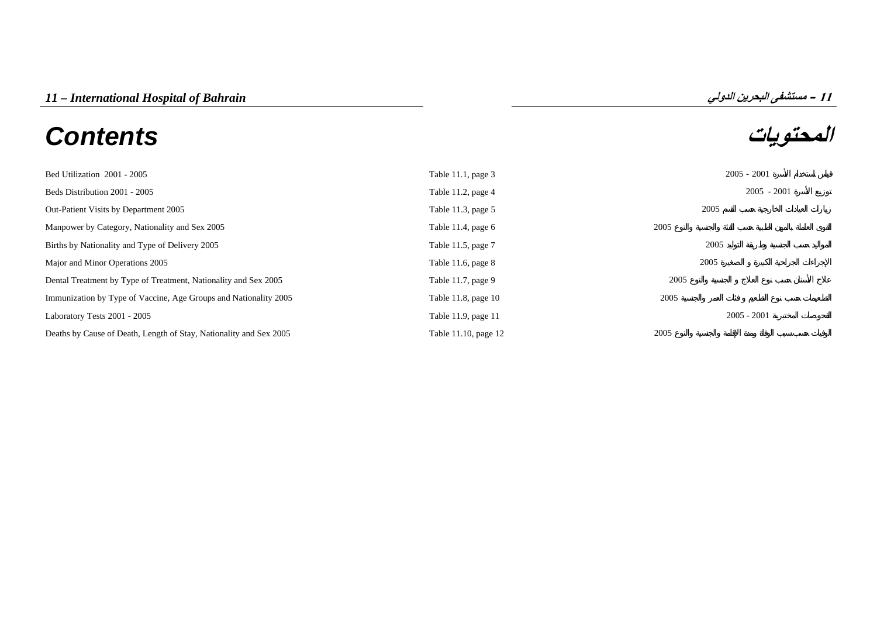# **المحتويات** *Contents*



| Bed Utilization 2001 - 2005                                        | Table 11.1, page 3   | $2005 - 2001$ |
|--------------------------------------------------------------------|----------------------|---------------|
| Beds Distribution 2001 - 2005                                      | Table 11.2, page 4   | $2005 - 2001$ |
| Out-Patient Visits by Department 2005                              | Table 11.3, page 5   | 2005          |
| Manpower by Category, Nationality and Sex 2005                     | Table 11.4, page $6$ | 2005          |
| Births by Nationality and Type of Delivery 2005                    | Table 11.5, page 7   | 2005          |
| Major and Minor Operations 2005                                    | Table 11.6, page $8$ | 2005          |
| Dental Treatment by Type of Treatment, Nationality and Sex 2005    | Table 11.7, page 9   | 2005          |
| Immunization by Type of Vaccine, Age Groups and Nationality 2005   | Table 11.8, page 10  | 2005          |
| Laboratory Tests 2001 - 2005                                       | Table 11.9, page 11  | $2005 - 2001$ |
| Deaths by Cause of Death, Length of Stay, Nationality and Sex 2005 | Table 11.10, page 12 | 2005          |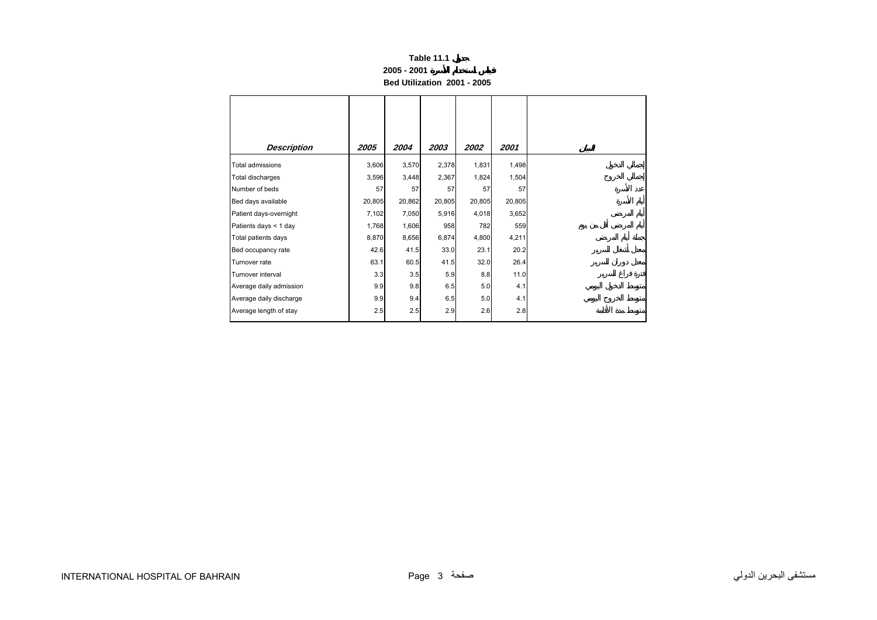## **2005 - 2001**

**Bed Utilization 2001 - 2005** 

<span id="page-1-0"></span>

| <b>Description</b>      | 2005   | 2004   | 2003   | 2002   | 2001   |
|-------------------------|--------|--------|--------|--------|--------|
| Total admissions        | 3,606  | 3,570  | 2,378  | 1,831  | 1,498  |
| Total discharges        | 3,596  | 3,448  | 2,367  | 1,824  | 1,504  |
| Number of beds          | 57     | 57     | 57     | 57     | 57     |
| Bed days available      | 20,805 | 20,862 | 20,805 | 20,805 | 20,805 |
| Patient days-overnight  | 7,102  | 7,050  | 5,916  | 4,018  | 3,652  |
| Patients days < 1 day   | 1,768  | 1,606  | 958    | 782    | 559    |
| Total patients days     | 8,870  | 8,656  | 6,874  | 4,800  | 4,211  |
| Bed occupancy rate      | 42.6   | 41.5   | 33.0   | 23.1   | 20.2   |
| Turnover rate           | 63.1   | 60.5   | 41.5   | 32.0   | 26.4   |
| Turnover interval       | 3.3    | 3.5    | 5.9    | 8.8    | 11.0   |
| Average daily admission | 9.9    | 9.8    | 6.5    | 5.0    | 4.1    |
| Average daily discharge | 9.9    | 9.4    | 6.5    | 5.0    | 4.1    |
| Average length of stay  | 2.5    | 2.5    | 2.9    | 2.6    | 2.8    |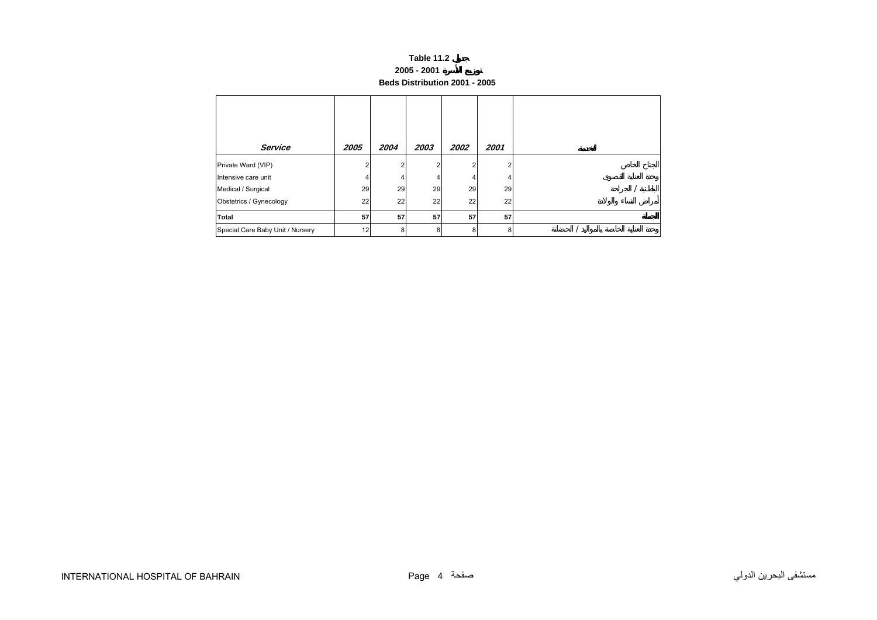# **Table 11.2 2005 - 2001 Beds Distribution 2001 - 2005**

<span id="page-2-0"></span>

| Service                          | 2005 | 2004 | 2003 | <i><b>2002</b></i> | 2001       |  |
|----------------------------------|------|------|------|--------------------|------------|--|
| Private Ward (VIP)               |      |      |      |                    | $\sqrt{2}$ |  |
| Intensive care unit              |      |      |      |                    |            |  |
| Medical / Surgical               | 29   | 29   | 29   | 29                 | 29         |  |
| Obstetrics / Gynecology          | 22   | 22   | 22   | 22                 | 22         |  |
| Total                            | 57   | 57   | 57   | 57                 | 57         |  |
| Special Care Baby Unit / Nursery | 12   | 8    | 8    | 8                  | я          |  |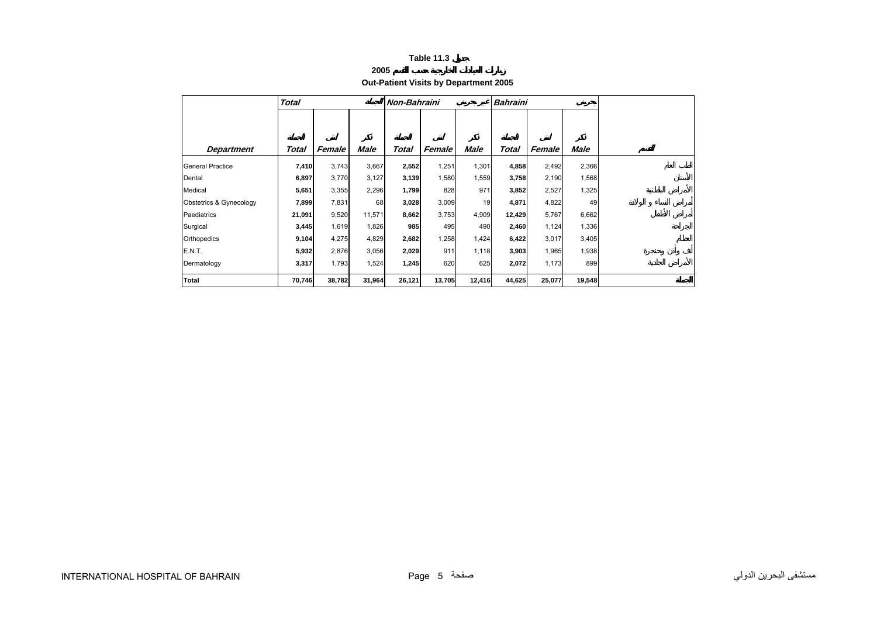# **2005**

# **Out-Patient Visits by Department 2005**

<span id="page-3-0"></span>

|                         | <b>Total</b> |        |        | Non-Bahraini |        |        | Bahraini |        |        |
|-------------------------|--------------|--------|--------|--------------|--------|--------|----------|--------|--------|
|                         |              |        |        |              |        |        |          |        |        |
|                         |              |        |        |              |        |        |          |        |        |
| <b>Department</b>       | Total        | Female | Male   | Total        | Female | Male   | Total    | Female | Male   |
| <b>General Practice</b> | 7,410        | 3,743  | 3,667  | 2,552        | 1,251  | 1,301  | 4,858    | 2,492  | 2,366  |
| Dental                  | 6,897        | 3,770  | 3,127  | 3,139        | 1,580  | 1,559  | 3,758    | 2,190  | 1,568  |
| Medical                 | 5,651        | 3,355  | 2,296  | 1,799        | 828    | 971    | 3,852    | 2,527  | 1,325  |
| Obstetrics & Gynecology | 7,899        | 7,831  | 68     | 3,028        | 3,009  | 19     | 4,871    | 4,822  | 49     |
| Paediatrics             | 21,091       | 9,520  | 11,571 | 8,662        | 3,753  | 4,909  | 12,429   | 5,767  | 6,662  |
| Surgical                | 3,445        | 1,619  | 1,826  | 985          | 495    | 490    | 2,460    | 1,124  | 1,336  |
| Orthopedics             | 9,104        | 4,275  | 4,829  | 2,682        | 1,258  | 1,424  | 6,422    | 3,017  | 3,405  |
| <b>E.N.T.</b>           | 5,932        | 2,876  | 3,056  | 2,029        | 911    | 1,118  | 3,903    | 1,965  | 1,938  |
| Dermatology             | 3,317        | 1,793  | 1,524  | 1,245        | 620    | 625    | 2,072    | 1,173  | 899    |
| <b>Total</b>            | 70,746       | 38,782 | 31,964 | 26,121       | 13,705 | 12,416 | 44,625   | 25,077 | 19,548 |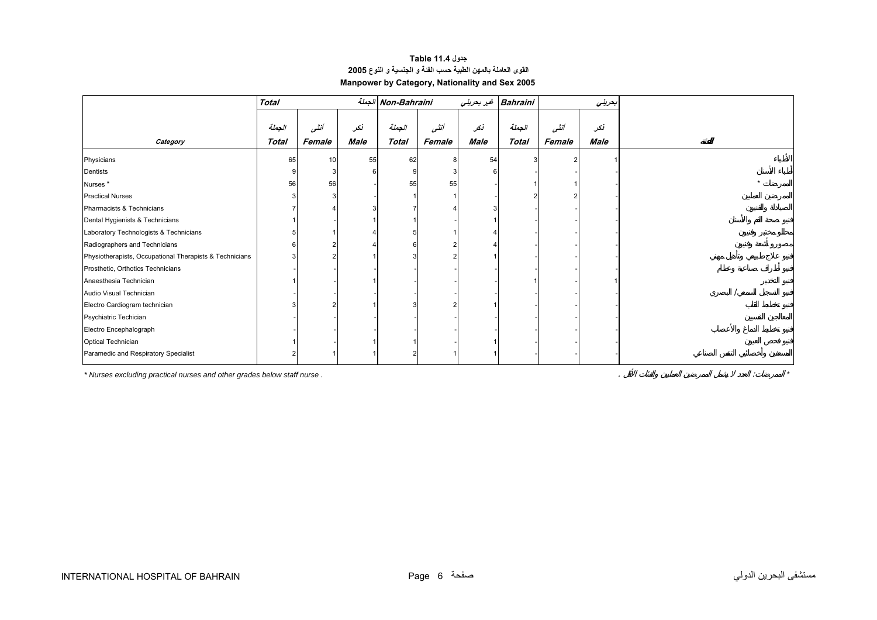# **جدول 11.4 Table القوى العاملة بالمهن الطبية حسب الفئة <sup>و</sup> الجنسية <sup>و</sup> النوع<sup>2005</sup> Manpower by Category, Nationality and Sex 2005**

<span id="page-4-0"></span>

|                                                         | <b>Total</b> |        |      | الجملة Non-Bahraini |        |      | Bahraini غير بحريني |        | بعريني |  |
|---------------------------------------------------------|--------------|--------|------|---------------------|--------|------|---------------------|--------|--------|--|
|                                                         | الجملة       | أنشى   | نکر  | الجملة              | أنشى   | نكر  | الجملة              | أننسى  | نكر    |  |
| Category                                                | Total        | Female | Male | <b>Total</b>        | Female | Male | <b>Total</b>        | Female | Male   |  |
| Physicians                                              | 65           | 10     | 55   | 62                  |        | 54   |                     |        |        |  |
| Dentists                                                |              |        |      |                     |        |      |                     |        |        |  |
| Nurses <sup>*</sup>                                     | 56           | 56     |      | 55                  | 55     |      |                     |        |        |  |
| <b>Practical Nurses</b>                                 |              |        |      |                     |        |      |                     |        |        |  |
| Pharmacists & Technicians                               |              |        |      |                     |        |      |                     |        |        |  |
| Dental Hygienists & Technicians                         |              |        |      |                     |        |      |                     |        |        |  |
| Laboratory Technologists & Technicians                  |              |        |      |                     |        |      |                     |        |        |  |
| Radiographers and Technicians                           |              |        |      |                     |        |      |                     |        |        |  |
| Physiotherapists, Occupational Therapists & Technicians |              |        |      |                     |        |      |                     |        |        |  |
| Prosthetic, Orthotics Technicians                       |              |        |      |                     |        |      |                     |        |        |  |
| Anaesthesia Technician                                  |              |        |      |                     |        |      |                     |        |        |  |
| Audio Visual Technician                                 |              |        |      |                     |        |      |                     |        |        |  |
| Electro Cardiogram technician                           |              |        |      |                     |        |      |                     |        |        |  |
| Psychiatric Techician                                   |              |        |      |                     |        |      |                     |        |        |  |
| Electro Encephalograph                                  |              |        |      |                     |        |      |                     |        |        |  |
| Optical Technician                                      |              |        |      |                     |        |      |                     |        |        |  |
| Paramedic and Respiratory Specialist                    |              |        |      |                     |        |      |                     |        |        |  |

*\* Nurses excluding practical nurses and other grades below staff nurse .* . : *\**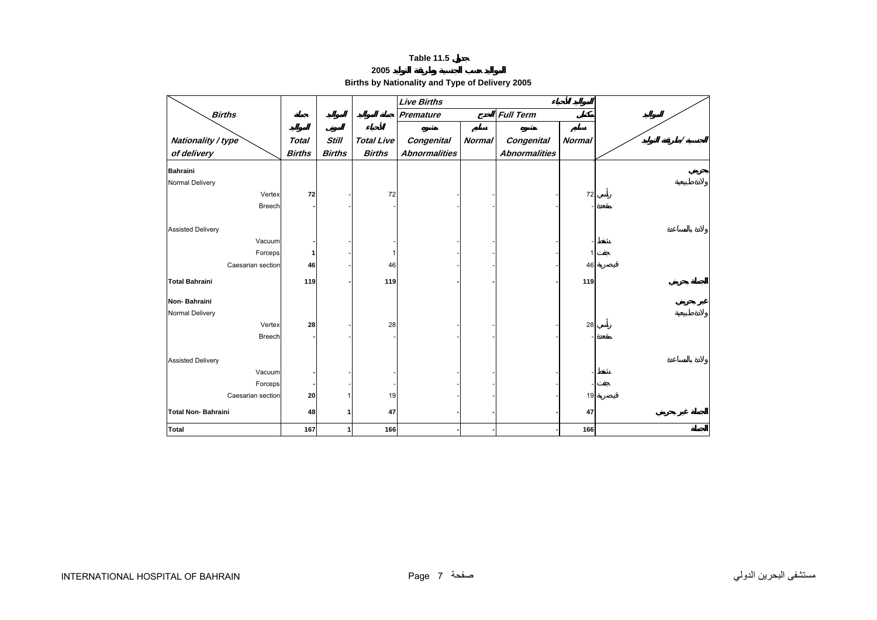| 2005                                            |  |
|-------------------------------------------------|--|
| Births by Nationality and Type of Delivery 2005 |  |

<span id="page-5-0"></span>

|                           |               |               |                   | <b>Live Births</b>   |               |                      |               |  |
|---------------------------|---------------|---------------|-------------------|----------------------|---------------|----------------------|---------------|--|
| <b>Births</b>             |               |               |                   | Premature            |               | <b>Full Term</b>     |               |  |
|                           |               |               |                   |                      |               |                      |               |  |
| Nationality / type        | <b>Total</b>  | <b>Still</b>  | <b>Total Live</b> | Congenital           | <b>Normal</b> | <b>Congenital</b>    | <b>Normal</b> |  |
| of delivery               | <b>Births</b> | <b>Births</b> | <b>Births</b>     | <b>Abnormalities</b> |               | <b>Abnormalities</b> |               |  |
| <b>Bahraini</b>           |               |               |                   |                      |               |                      |               |  |
| Normal Delivery           |               |               |                   |                      |               |                      |               |  |
| Vertex                    | 72            |               | 72                |                      |               |                      | 72            |  |
| Breech                    |               |               |                   |                      |               |                      |               |  |
|                           |               |               |                   |                      |               |                      |               |  |
| <b>Assisted Delivery</b>  |               |               |                   |                      |               |                      |               |  |
| Vacuum                    |               |               |                   |                      |               |                      |               |  |
| Forceps                   |               |               |                   |                      |               |                      | 1             |  |
| Caesarian section         | 46            |               | 46                |                      |               |                      | 46            |  |
| <b>Total Bahraini</b>     |               |               |                   |                      |               |                      |               |  |
|                           | 119           |               | 119               |                      |               |                      | 119           |  |
| Non-Bahraini              |               |               |                   |                      |               |                      |               |  |
| Normal Delivery           |               |               |                   |                      |               |                      |               |  |
| Vertex                    | 28            |               | 28                |                      |               |                      | 28            |  |
| <b>Breech</b>             |               |               |                   |                      |               |                      |               |  |
|                           |               |               |                   |                      |               |                      |               |  |
| <b>Assisted Delivery</b>  |               |               |                   |                      |               |                      |               |  |
| Vacuum                    |               |               |                   |                      |               |                      |               |  |
| Forceps                   |               |               |                   |                      |               |                      |               |  |
| Caesarian section         | 20            |               | 19                |                      |               |                      | 19            |  |
| <b>Total Non-Bahraini</b> | 48            |               | 47                |                      |               |                      | 47            |  |
|                           |               |               |                   |                      |               |                      |               |  |
| <b>Total</b>              | 167           |               | 166               |                      |               |                      | 166           |  |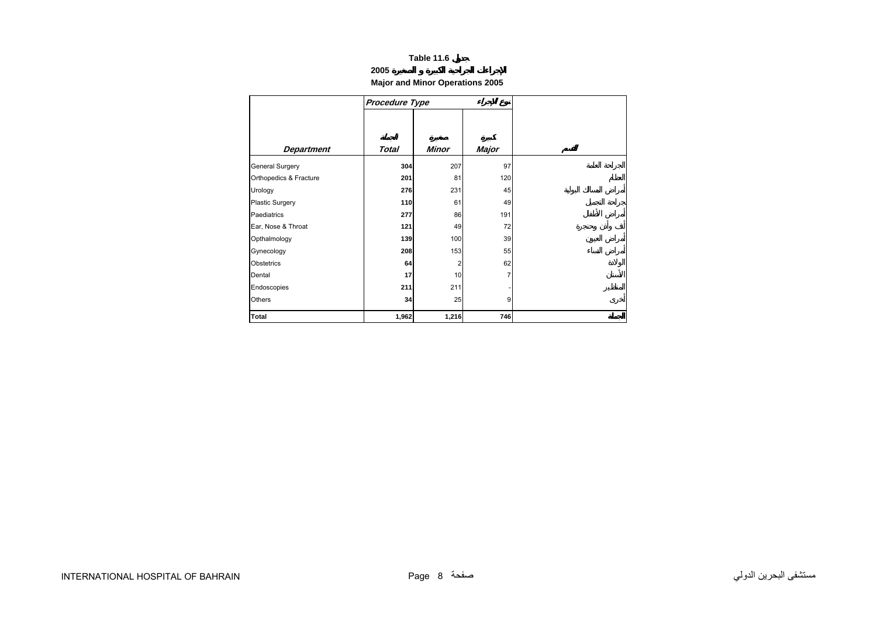## **2005**

## **Major and Minor Operations 2005**

<span id="page-6-0"></span>

|                        | <b>Procedure Type</b> |              |              |
|------------------------|-----------------------|--------------|--------------|
|                        |                       |              |              |
|                        |                       |              |              |
| <b>Department</b>      | Total                 | <b>Minor</b> | <b>Major</b> |
| General Surgery        | 304                   | 207          | 97           |
| Orthopedics & Fracture | 201                   | 81           | 120          |
| Urology                | 276                   | 231          | 45           |
| Plastic Surgery        | 110                   | 61           | 49           |
| Paediatrics            | 277                   | 86           | 191          |
| Ear, Nose & Throat     | 121                   | 49           | 72           |
| Opthalmology           | 139                   | 100          | 39           |
| Gynecology             | 208                   | 153          | 55           |
| Obstetrics             | 64                    | 2            | 62           |
| Dental                 | 17                    | 10           | 7            |
| Endoscopies            | 211                   | 211          |              |
| Others                 | 34                    | 25           | 9            |
| Total                  | 1,962                 | 1,216        | 746          |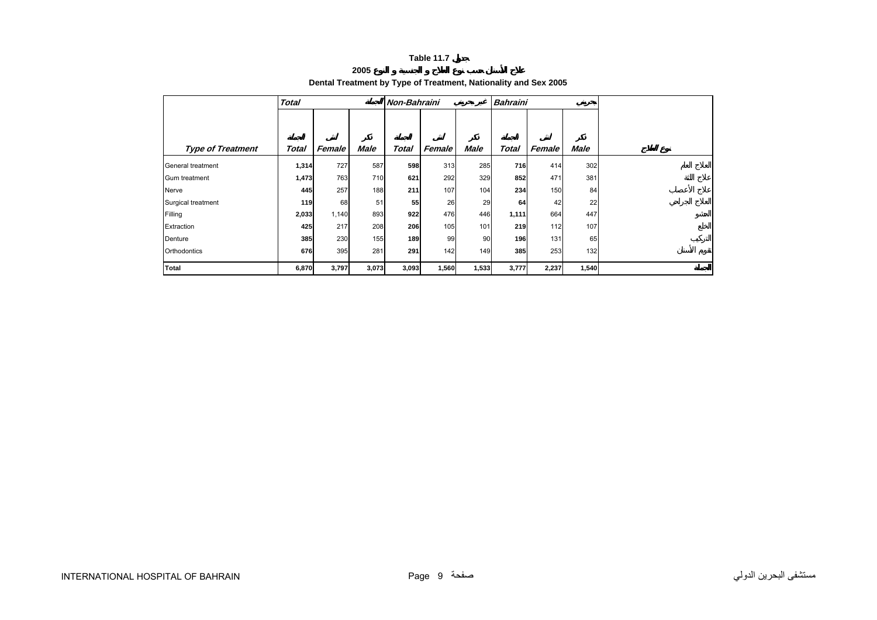**2005** 

# **Dental Treatment by Type of Treatment, Nationality and Sex 2005**

<span id="page-7-0"></span>

|                          | <b>Total</b> |        |             |       | Non-Bahraini |             |              | <b>Bahraini</b> |             |  |  |
|--------------------------|--------------|--------|-------------|-------|--------------|-------------|--------------|-----------------|-------------|--|--|
|                          |              |        |             |       |              |             |              |                 |             |  |  |
|                          |              |        |             |       |              |             |              |                 |             |  |  |
| <b>Type of Treatment</b> | Total        | Female | <b>Male</b> | Total | Female       | <b>Male</b> | <b>Total</b> | Female          | <b>Male</b> |  |  |
| General treatment        | 1,314        | 727    | 587         | 598   | 313          | 285         | 716          | 414             | 302         |  |  |
| <b>Gum treatment</b>     | 1,473        | 763    | 710         | 621   | 292          | 329         | 852          | 471             | 381         |  |  |
| Nerve                    | 445          | 257    | 188         | 211   | 107          | 104         | 234          | 150             | 84          |  |  |
| Surgical treatment       | 119          | 68     | 51          | 55    | 26           | 29          | 64           | 42              | 22          |  |  |
| Filling                  | 2,033        | 1,140  | 893         | 922   | 476          | 446         | 1,111        | 664             | 447         |  |  |
| Extraction               | 425          | 217    | 208         | 206   | 105          | 101         | 219          | 112             | 107         |  |  |
| Denture                  | 385          | 230    | 155         | 189   | 99           | 90          | 196          | 131             | 65          |  |  |
| Orthodontics             | 676          | 395    | 281         | 291   | 142          | 149         | 385          | 253             | 132         |  |  |
| Total                    | 6,870        | 3,797  | 3,073       | 3,093 | 1,560        | 1,533       | 3,777        | 2,237           | 1,540       |  |  |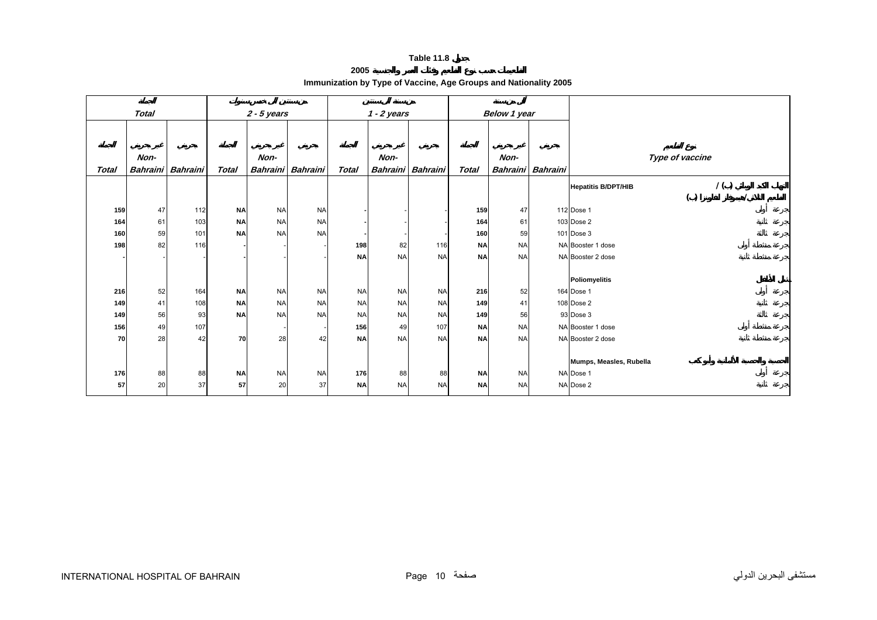**2005 Immunization by Type of Vaccine, Age Groups and Nationality 2005** 

<span id="page-8-0"></span>

|       | <b>Total</b> |                 |              | $2 - 5$ years   |                 |              | $1 - 2$ years   |           |              | <b>Below 1 year</b> |                          |                                    |
|-------|--------------|-----------------|--------------|-----------------|-----------------|--------------|-----------------|-----------|--------------|---------------------|--------------------------|------------------------------------|
|       |              |                 |              |                 |                 |              |                 |           |              |                     |                          |                                    |
|       |              |                 |              |                 |                 |              |                 |           |              |                     |                          |                                    |
|       |              |                 |              |                 |                 |              |                 |           |              |                     |                          |                                    |
|       | Non-         |                 |              | Non-            |                 |              | Non-            |           |              | Non-                |                          | Type of vaccine                    |
| Total | Bahraini     | <b>Bahraini</b> | <b>Total</b> | <b>Bahraini</b> | <b>Bahraini</b> | <b>Total</b> | <b>Bahraini</b> | Bahraini  | <b>Total</b> |                     | <b>Bahraini</b> Bahraini |                                    |
|       |              |                 |              |                 |                 |              |                 |           |              |                     |                          | 1( )<br><b>Hepatitis B/DPT/HIB</b> |
|       |              |                 |              |                 |                 |              |                 |           |              |                     |                          | ( )                                |
| 159   | 47           | 112             | <b>NA</b>    | <b>NA</b>       | <b>NA</b>       |              |                 |           | 159          | 47                  |                          | 112 Dose 1                         |
| 164   | 61           | 103             | <b>NA</b>    | <b>NA</b>       | <b>NA</b>       |              |                 |           | 164          | 61                  |                          | 103 Dose 2                         |
| 160   | 59           | 101             | <b>NA</b>    | <b>NA</b>       | <b>NA</b>       |              |                 |           | 160          | 59                  |                          | 101 Dose 3                         |
| 198   | 82           | 116             |              |                 |                 | 198          | 82              | 116       | <b>NA</b>    | <b>NA</b>           |                          | NA Booster 1 dose                  |
|       |              |                 |              |                 |                 | <b>NA</b>    | <b>NA</b>       | <b>NA</b> | <b>NA</b>    | <b>NA</b>           |                          | NA Booster 2 dose                  |
|       |              |                 |              |                 |                 |              |                 |           |              |                     |                          |                                    |
|       |              |                 |              |                 |                 |              |                 |           |              |                     |                          | <b>Poliomyelitis</b>               |
| 216   | 52           | 164             | <b>NA</b>    | <b>NA</b>       | <b>NA</b>       | <b>NA</b>    | <b>NA</b>       | <b>NA</b> | 216          | 52                  |                          | 164 Dose 1                         |
| 149   | 41           | 108             | <b>NA</b>    | <b>NA</b>       | <b>NA</b>       | <b>NA</b>    | <b>NA</b>       | <b>NA</b> | 149          | 41                  |                          | 108 Dose 2                         |
| 149   | 56           | 93              | <b>NA</b>    | <b>NA</b>       | <b>NA</b>       | <b>NA</b>    | <b>NA</b>       | <b>NA</b> | 149          | 56                  |                          | 93 Dose 3                          |
| 156   | 49           | 107             |              |                 |                 | 156          | 49              | 107       | <b>NA</b>    | <b>NA</b>           |                          | NA Booster 1 dose                  |
| 70    | 28           | 42              | 70           | 28              | 42              | <b>NA</b>    | <b>NA</b>       | <b>NA</b> | <b>NA</b>    | <b>NA</b>           |                          | NA Booster 2 dose                  |
|       |              |                 |              |                 |                 |              |                 |           |              |                     |                          |                                    |
|       |              |                 |              |                 |                 |              |                 |           |              |                     |                          | Mumps, Measles, Rubella            |
| 176   | 88           | 88              | <b>NA</b>    | <b>NA</b>       | <b>NA</b>       | 176          | 88              | 88        | <b>NA</b>    | <b>NA</b>           |                          | NA Dose 1                          |
| 57    | 20           | 37              | 57           | 20              | 37              | <b>NA</b>    | <b>NA</b>       | <b>NA</b> | <b>NA</b>    | <b>NA</b>           |                          | NA Dose 2                          |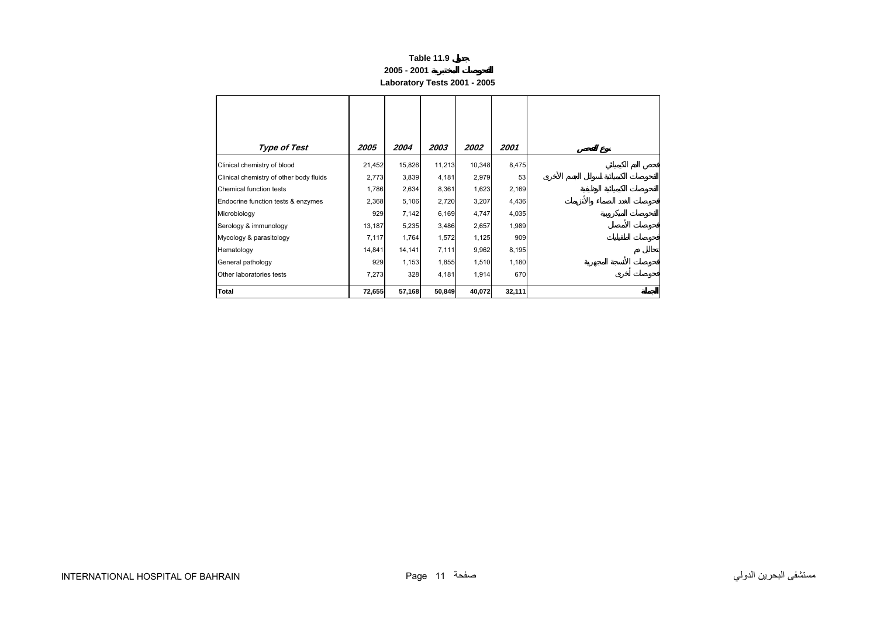# **Table 11.9 2005 - 2001 Laboratory Tests 2001 - 2005**

<span id="page-9-0"></span>

| <b>Type of Test</b>                     | 2005   | 2004   | 2003   | 2002   | 2001   |
|-----------------------------------------|--------|--------|--------|--------|--------|
| Clinical chemistry of blood             | 21,452 | 15,826 | 11,213 | 10,348 | 8,475  |
| Clinical chemistry of other body fluids | 2,773  | 3,839  | 4,181  | 2,979  | 53     |
| Chemical function tests                 | 1,786  | 2,634  | 8,361  | 1,623  | 2,169  |
| Endocrine function tests & enzymes      | 2,368  | 5,106  | 2,720  | 3,207  | 4,436  |
| Microbiology                            | 929    | 7,142  | 6,169  | 4,747  | 4,035  |
| Serology & immunology                   | 13,187 | 5,235  | 3,486  | 2,657  | 1,989  |
| Mycology & parasitology                 | 7,117  | 1,764  | 1,572  | 1,125  | 909    |
| Hematology                              | 14,841 | 14,141 | 7,111  | 9,962  | 8,195  |
| General pathology                       | 929    | 1,153  | 1,855  | 1,510  | 1,180  |
| Other laboratories tests                | 7,273  | 328    | 4,181  | 1,914  | 670    |
| Total                                   | 72,655 | 57,168 | 50,849 | 40,072 | 32,111 |